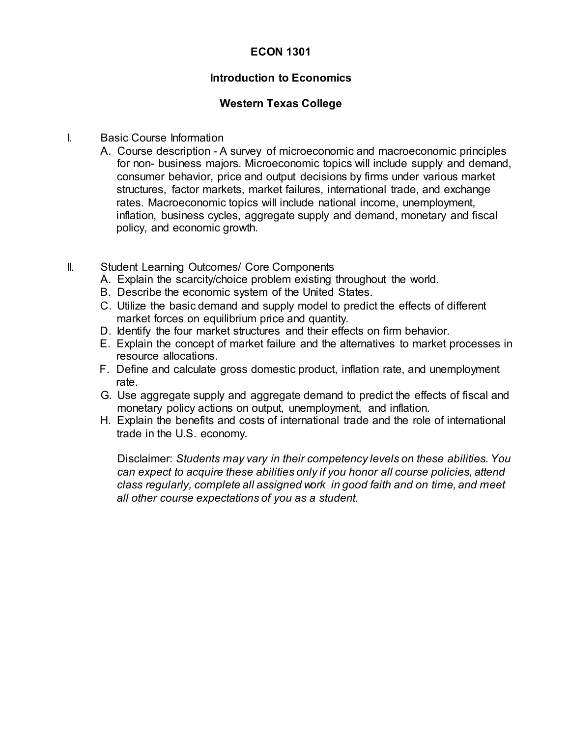## **ECON 1301**

### **Introduction to Economics**

#### **Western Texas College**

#### I. Basic Course Information

- A. Course description A survey of microeconomic and macroeconomic principles for non- business majors. Microeconomic topics will include supply and demand, consumer behavior, price and output decisions by firms under various market structures, factor markets, market failures, international trade, and exchange rates. Macroeconomic topics will include national income, unemployment, inflation, business cycles, aggregate supply and demand, monetary and fiscal policy, and economic growth.
- II. Student Learning Outcomes/ Core Components
	- A. Explain the scarcity/choice problem existing throughout the world.
	- B. Describe the economic system of the United States.
	- C. Utilize the basic demand and supply model to predict the effects of different market forces on equilibrium price and quantity.
	- D. Identify the four market structures and their effects on firm behavior.
	- E. Explain the concept of market failure and the alternatives to market processes in resource allocations.
	- F. Define and calculate gross domestic product, inflation rate, and unemployment rate.
	- G. Use aggregate supply and aggregate demand to predict the effects of fiscal and monetary policy actions on output, unemployment, and inflation.
	- H. Explain the benefits and costs of international trade and the role of international trade in the U.S. economy.

Disclaimer: *Students may vary in their competency levels on these abilities. You can expect to acquire these abilities only if you honor all course policies, attend class regularly, complete all assigned work in good faith and on time, and meet all other course expectations of you as a student.*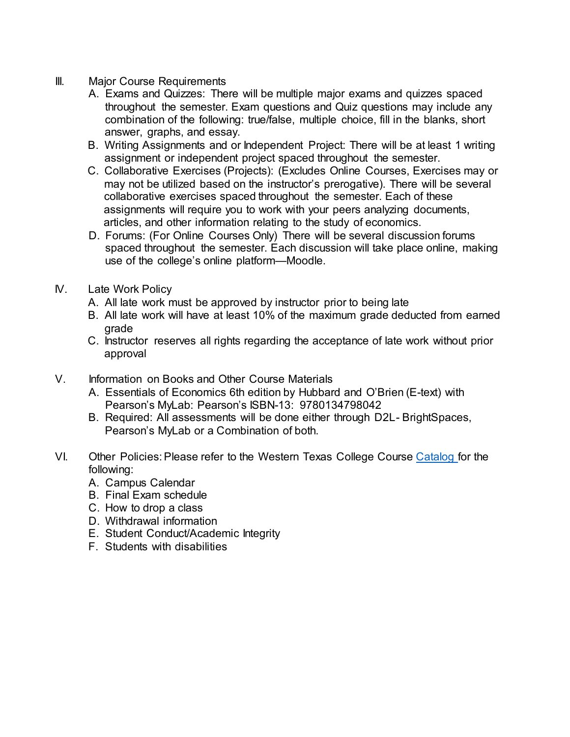- III. Major Course Requirements
	- A. Exams and Quizzes: There will be multiple major exams and quizzes spaced throughout the semester. Exam questions and Quiz questions may include any combination of the following: true/false, multiple choice, fill in the blanks, short answer, graphs, and essay.
	- B. Writing Assignments and or Independent Project: There will be at least 1 writing assignment or independent project spaced throughout the semester.
	- C. Collaborative Exercises (Projects): (Excludes Online Courses, Exercises may or may not be utilized based on the instructor's prerogative). There will be several collaborative exercises spaced throughout the semester. Each of these assignments will require you to work with your peers analyzing documents, articles, and other information relating to the study of economics.
	- D. Forums: (For Online Courses Only) There will be several discussion forums spaced throughout the semester. Each discussion will take place online, making use of the college's online platform—Moodle.
- IV. Late Work Policy
	- A. All late work must be approved by instructor prior to being late
	- B. All late work will have at least 10% of the maximum grade deducted from earned grade
	- C. Instructor reserves all rights regarding the acceptance of late work without prior approval
- V. Information on Books and Other Course Materials
	- A. Essentials of Economics 6th edition by Hubbard and O'Brien (E-text) with Pearson's MyLab: Pearson's ISBN-13: 9780134798042
	- B. Required: All assessments will be done either through D2L- BrightSpaces, Pearson's MyLab or a Combination of both.
- VI. Other Policies: Please refer to the Western Texas College Course [Catalog f](http://www.wtc.edu/uploads/publications.html)or the following:
	- A. Campus Calendar
	- B. Final Exam schedule
	- C. How to drop a class
	- D. Withdrawal information
	- E. Student Conduct/Academic Integrity
	- F. Students with disabilities